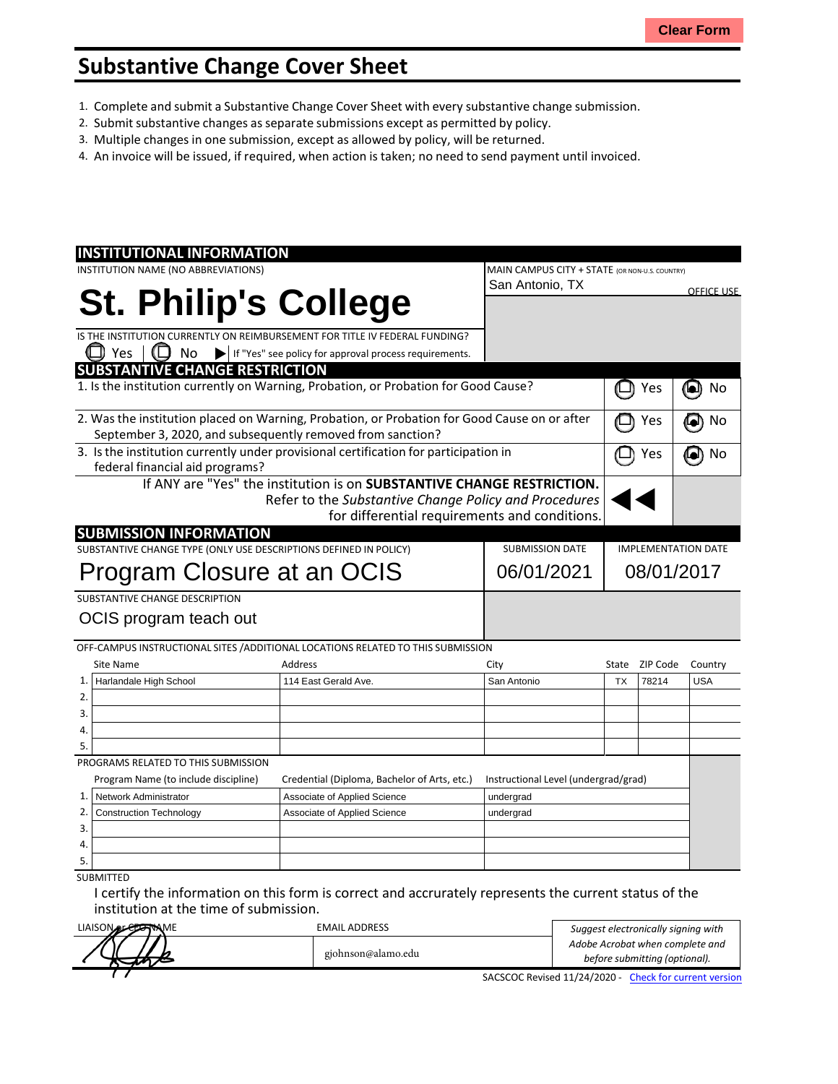## **Substantive Change Cover Sheet**

- 1. Complete and submit a Substantive Change Cover Sheet with every substantive change submission.
- 2. Submit substantive changes asseparate submissions except as permitted by policy.
- 3. Multiple changes in one submission, except as allowed by policy, will be returned.
- 4. An invoice will be issued, if required, when action is taken; no need to send payment until invoiced.

| <b>INSTITUTIONAL INFORMATION</b>                                                             |                                                                        |            |                                                |                            |                |                   |
|----------------------------------------------------------------------------------------------|------------------------------------------------------------------------|------------|------------------------------------------------|----------------------------|----------------|-------------------|
| INSTITUTION NAME (NO ABBREVIATIONS)                                                          |                                                                        |            | MAIN CAMPUS CITY + STATE (OR NON-U.S. COUNTRY) |                            |                |                   |
|                                                                                              |                                                                        |            | San Antonio, TX                                |                            |                | <b>OFFICE USE</b> |
| <b>St. Philip's College</b>                                                                  |                                                                        |            |                                                |                            |                |                   |
|                                                                                              |                                                                        |            |                                                |                            |                |                   |
| IS THE INSTITUTION CURRENTLY ON REIMBURSEMENT FOR TITLE IV FEDERAL FUNDING?                  |                                                                        |            |                                                |                            |                |                   |
| Yes<br>No                                                                                    | If "Yes" see policy for approval process requirements.                 |            |                                                |                            |                |                   |
| <b>SUBSTANTIVE CHANGE RESTRICTION</b>                                                        |                                                                        |            |                                                |                            |                |                   |
| 1. Is the institution currently on Warning, Probation, or Probation for Good Cause?          |                                                                        |            |                                                |                            | Yes            | No                |
| 2. Was the institution placed on Warning, Probation, or Probation for Good Cause on or after |                                                                        |            |                                                |                            | Yes            | No                |
| September 3, 2020, and subsequently removed from sanction?                                   |                                                                        |            |                                                |                            |                |                   |
| 3. Is the institution currently under provisional certification for participation in         |                                                                        |            |                                                | Yes                        | No             |                   |
| federal financial aid programs?                                                              |                                                                        |            |                                                |                            |                |                   |
|                                                                                              | If ANY are "Yes" the institution is on SUBSTANTIVE CHANGE RESTRICTION. |            |                                                |                            |                |                   |
|                                                                                              | Refer to the Substantive Change Policy and Procedures                  |            |                                                |                            |                |                   |
|                                                                                              |                                                                        |            | for differential requirements and conditions.  |                            |                |                   |
| <b>SUBMISSION INFORMATION</b>                                                                |                                                                        |            |                                                |                            |                |                   |
| SUBSTANTIVE CHANGE TYPE (ONLY USE DESCRIPTIONS DEFINED IN POLICY)                            |                                                                        |            | <b>SUBMISSION DATE</b>                         | <b>IMPLEMENTATION DATE</b> |                |                   |
|                                                                                              |                                                                        | 06/01/2021 | 08/01/2017                                     |                            |                |                   |
| Program Closure at an OCIS                                                                   |                                                                        |            |                                                |                            |                |                   |
| SUBSTANTIVE CHANGE DESCRIPTION                                                               |                                                                        |            |                                                |                            |                |                   |
| OCIS program teach out                                                                       |                                                                        |            |                                                |                            |                |                   |
|                                                                                              |                                                                        |            |                                                |                            |                |                   |
| OFF-CAMPUS INSTRUCTIONAL SITES / ADDITIONAL LOCATIONS RELATED TO THIS SUBMISSION             |                                                                        |            |                                                |                            |                |                   |
| <b>Site Name</b>                                                                             | Address                                                                |            | City                                           |                            | State ZIP Code | Country           |
| 1.<br>Harlandale High School                                                                 | 114 East Gerald Ave.                                                   |            | San Antonio                                    | <b>TX</b>                  | 78214          | <b>USA</b>        |
| 2.                                                                                           |                                                                        |            |                                                |                            |                |                   |
| 3.                                                                                           |                                                                        |            |                                                |                            |                |                   |
| 4.                                                                                           |                                                                        |            |                                                |                            |                |                   |
| 5.                                                                                           |                                                                        |            |                                                |                            |                |                   |
| PROGRAMS RELATED TO THIS SUBMISSION                                                          |                                                                        |            |                                                |                            |                |                   |
| Program Name (to include discipline)                                                         | Credential (Diploma, Bachelor of Arts, etc.)                           |            | Instructional Level (undergrad/grad)           |                            |                |                   |
| Network Administrator<br>1.                                                                  | Associate of Applied Science                                           |            | undergrad                                      |                            |                |                   |
| 2.<br><b>Construction Technology</b>                                                         | Associate of Applied Science                                           |            | undergrad                                      |                            |                |                   |
| 3.                                                                                           |                                                                        |            |                                                |                            |                |                   |
| 4.                                                                                           |                                                                        |            |                                                |                            |                |                   |
| 5.                                                                                           |                                                                        |            |                                                |                            |                |                   |
| <b>SUBMITTED</b>                                                                             |                                                                        |            |                                                |                            |                |                   |

I certify the information on this form is correct and accrurately represents the current status of the institution at the time of submission.

| LIAISON DE CONNAME | EMAIL ADDRESS      | Suggest electronically signing with                   |
|--------------------|--------------------|-------------------------------------------------------|
|                    |                    | Adobe Acrobat when complete and                       |
|                    | gjohnson@alamo.edu | before submitting (optional).                         |
|                    |                    | SACSCOC Revised 11/24/2020 - Check for current versio |

SACSCOC Revised 11/24/2020 - Check for current version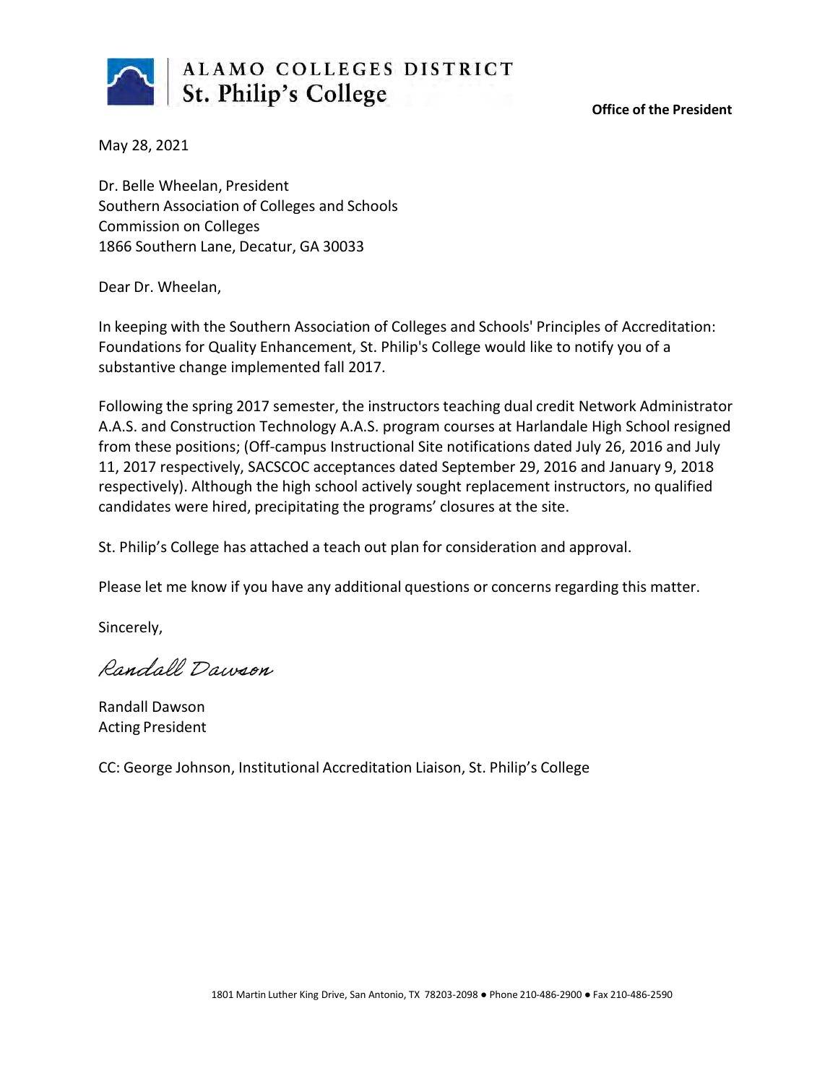

**Office of the President**

May 28, 2021

Dr. Belle Wheelan, President Southern Association of Colleges and Schools Commission on Colleges 1866 Southern Lane, Decatur, GA 30033

Dear Dr. Wheelan,

In keeping with the Southern Association of Colleges and Schools' Principles of Accreditation: Foundations for Quality Enhancement, St. Philip's College would like to notify you of a substantive change implemented fall 2017.

Following the spring 2017 semester, the instructors teaching dual credit Network Administrator A.A.S. and Construction Technology A.A.S. program courses at Harlandale High School resigned from these positions; (Off-campus Instructional Site notifications dated July 26, 2016 and July 11, 2017 respectively, SACSCOC acceptances dated September 29, 2016 and January 9, 2018 respectively). Although the high school actively sought replacement instructors, no qualified candidates were hired, precipitating the programs' closures at the site.

St. Philip's College has attached a teach out plan for consideration and approval.

Please let me know if you have any additional questions or concerns regarding this matter.

Sincerely,

Randall Dawson

Randall Dawson Acting President

CC: George Johnson, Institutional Accreditation Liaison, St. Philip's College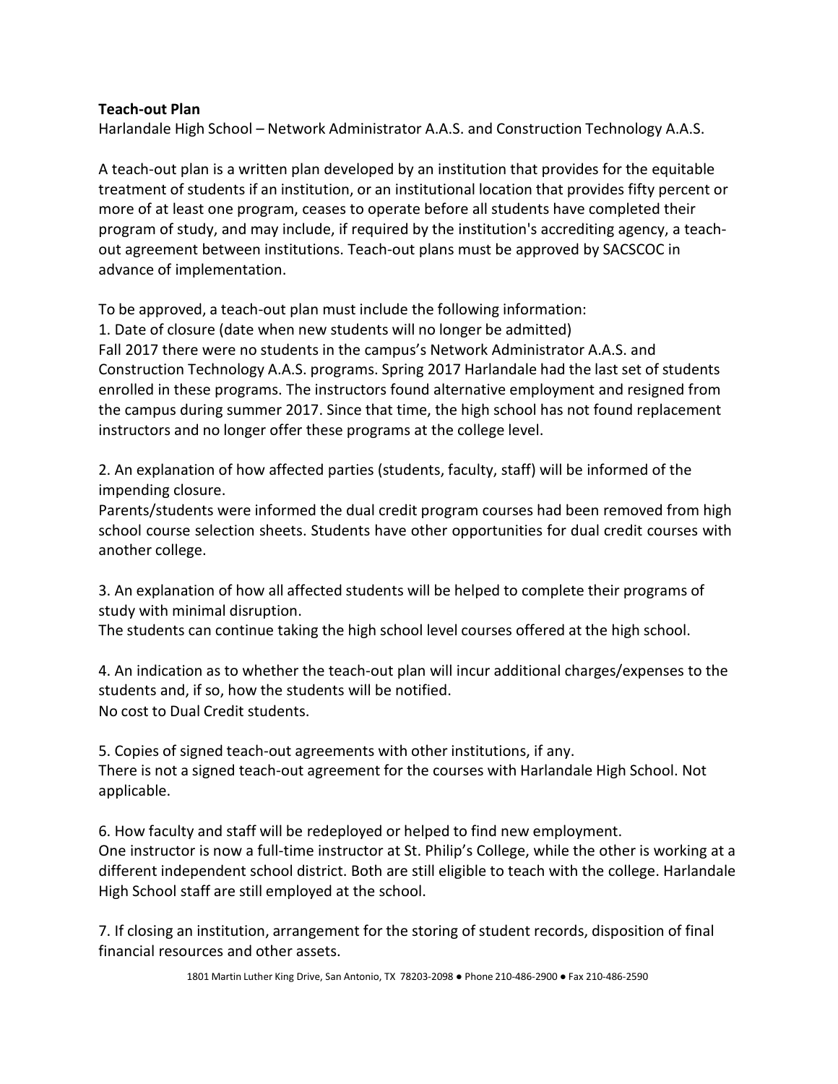## **Teach-out Plan**

Harlandale High School – Network Administrator A.A.S. and Construction Technology A.A.S.

A teach-out plan is a written plan developed by an institution that provides for the equitable treatment of students if an institution, or an institutional location that provides fifty percent or more of at least one program, ceases to operate before all students have completed their program of study, and may include, if required by the institution's accrediting agency, a teachout agreement between institutions. Teach-out plans must be approved by SACSCOC in advance of implementation.

To be approved, a teach-out plan must include the following information:

1. Date of closure (date when new students will no longer be admitted) Fall 2017 there were no students in the campus's Network Administrator A.A.S. and Construction Technology A.A.S. programs. Spring 2017 Harlandale had the last set of students enrolled in these programs. The instructors found alternative employment and resigned from the campus during summer 2017. Since that time, the high school has not found replacement instructors and no longer offer these programs at the college level.

2. An explanation of how affected parties (students, faculty, staff) will be informed of the impending closure.

Parents/students were informed the dual credit program courses had been removed from high school course selection sheets. Students have other opportunities for dual credit courses with another college.

3. An explanation of how all affected students will be helped to complete their programs of study with minimal disruption.

The students can continue taking the high school level courses offered at the high school.

4. An indication as to whether the teach-out plan will incur additional charges/expenses to the students and, if so, how the students will be notified. No cost to Dual Credit students.

5. Copies of signed teach-out agreements with other institutions, if any. There is not a signed teach-out agreement for the courses with Harlandale High School. Not applicable.

6. How faculty and staff will be redeployed or helped to find new employment. One instructor is now a full-time instructor at St. Philip's College, while the other is working at a different independent school district. Both are still eligible to teach with the college. Harlandale High School staff are still employed at the school.

7. If closing an institution, arrangement for the storing of student records, disposition of final financial resources and other assets.